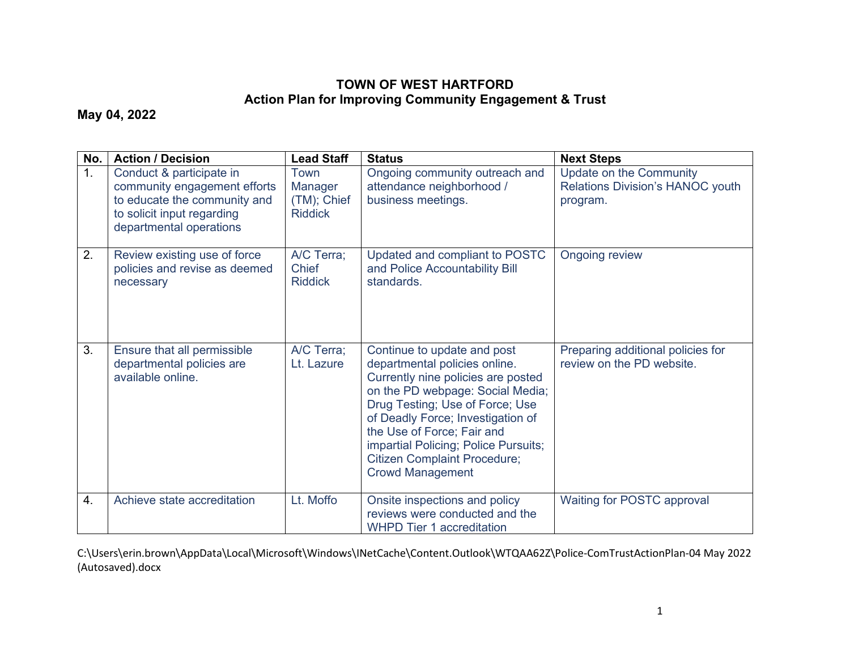## **TOWN OF WEST HARTFORD Action Plan for Improving Community Engagement & Trust**

**May 04, 2022**

| No. | <b>Action / Decision</b>                                                                                                                          | <b>Lead Staff</b>                                | <b>Status</b>                                                                                                                                                                                                                                                                                                                                          | <b>Next Steps</b>                                                              |
|-----|---------------------------------------------------------------------------------------------------------------------------------------------------|--------------------------------------------------|--------------------------------------------------------------------------------------------------------------------------------------------------------------------------------------------------------------------------------------------------------------------------------------------------------------------------------------------------------|--------------------------------------------------------------------------------|
| 1.  | Conduct & participate in<br>community engagement efforts<br>to educate the community and<br>to solicit input regarding<br>departmental operations | Town<br>Manager<br>(TM); Chief<br><b>Riddick</b> | Ongoing community outreach and<br>attendance neighborhood /<br>business meetings.                                                                                                                                                                                                                                                                      | <b>Update on the Community</b><br>Relations Division's HANOC youth<br>program. |
| 2.  | Review existing use of force<br>policies and revise as deemed<br>necessary                                                                        | A/C Terra;<br>Chief<br><b>Riddick</b>            | Updated and compliant to POSTC<br>and Police Accountability Bill<br>standards.                                                                                                                                                                                                                                                                         | <b>Ongoing review</b>                                                          |
| 3.  | Ensure that all permissible<br>departmental policies are<br>available online.                                                                     | A/C Terra;<br>Lt. Lazure                         | Continue to update and post<br>departmental policies online.<br>Currently nine policies are posted<br>on the PD webpage: Social Media;<br>Drug Testing; Use of Force; Use<br>of Deadly Force; Investigation of<br>the Use of Force; Fair and<br>impartial Policing; Police Pursuits;<br><b>Citizen Complaint Procedure;</b><br><b>Crowd Management</b> | Preparing additional policies for<br>review on the PD website.                 |
| 4.  | Achieve state accreditation                                                                                                                       | Lt. Moffo                                        | Onsite inspections and policy<br>reviews were conducted and the<br><b>WHPD Tier 1 accreditation</b>                                                                                                                                                                                                                                                    | Waiting for POSTC approval                                                     |

C:\Users\erin.brown\AppData\Local\Microsoft\Windows\INetCache\Content.Outlook\WTQAA62Z\Police-ComTrustActionPlan-04 May 2022 (Autosaved).docx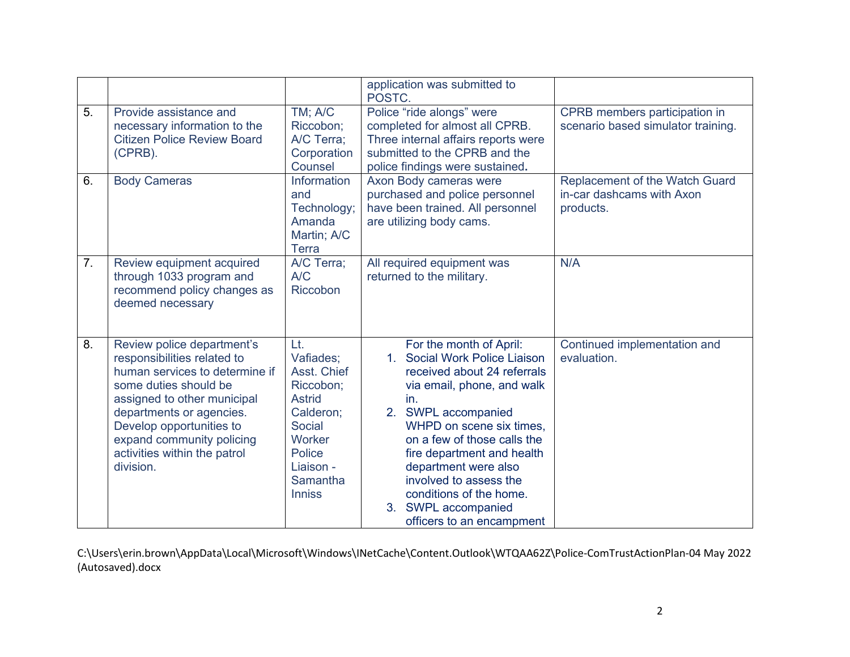|    |                                                                                                                                                                                                                                                                                       |                                                                                                                                                           | application was submitted to<br>POSTC.                                                                                                                                                                                                                                                                                                                                                                    |                                                                          |
|----|---------------------------------------------------------------------------------------------------------------------------------------------------------------------------------------------------------------------------------------------------------------------------------------|-----------------------------------------------------------------------------------------------------------------------------------------------------------|-----------------------------------------------------------------------------------------------------------------------------------------------------------------------------------------------------------------------------------------------------------------------------------------------------------------------------------------------------------------------------------------------------------|--------------------------------------------------------------------------|
| 5. | Provide assistance and<br>necessary information to the<br><b>Citizen Police Review Board</b><br>(CPRB).                                                                                                                                                                               | TM; A/C<br>Riccobon;<br>A/C Terra;<br>Corporation<br>Counsel                                                                                              | Police "ride alongs" were<br>completed for almost all CPRB.<br>Three internal affairs reports were<br>submitted to the CPRB and the<br>police findings were sustained.                                                                                                                                                                                                                                    | CPRB members participation in<br>scenario based simulator training.      |
| 6. | <b>Body Cameras</b>                                                                                                                                                                                                                                                                   | Information<br>and<br>Technology;<br>Amanda<br>Martin; A/C<br><b>Terra</b>                                                                                | Axon Body cameras were<br>purchased and police personnel<br>have been trained. All personnel<br>are utilizing body cams.                                                                                                                                                                                                                                                                                  | Replacement of the Watch Guard<br>in-car dashcams with Axon<br>products. |
| 7. | Review equipment acquired<br>through 1033 program and<br>recommend policy changes as<br>deemed necessary                                                                                                                                                                              | A/C Terra;<br>A/C<br>Riccobon                                                                                                                             | All required equipment was<br>returned to the military.                                                                                                                                                                                                                                                                                                                                                   | N/A                                                                      |
| 8. | Review police department's<br>responsibilities related to<br>human services to determine if<br>some duties should be<br>assigned to other municipal<br>departments or agencies.<br>Develop opportunities to<br>expand community policing<br>activities within the patrol<br>division. | Lt.<br>Vafiades;<br>Asst. Chief<br>Riccobon;<br><b>Astrid</b><br>Calderon;<br><b>Social</b><br>Worker<br>Police<br>Liaison -<br>Samantha<br><b>Inniss</b> | For the month of April:<br>Social Work Police Liaison<br>$1 -$<br>received about 24 referrals<br>via email, phone, and walk<br>in.<br>2. SWPL accompanied<br>WHPD on scene six times,<br>on a few of those calls the<br>fire department and health<br>department were also<br>involved to assess the<br>conditions of the home.<br><b>SWPL accompanied</b><br>3 <sub>1</sub><br>officers to an encampment | Continued implementation and<br>evaluation.                              |

C:\Users\erin.brown\AppData\Local\Microsoft\Windows\INetCache\Content.Outlook\WTQAA62Z\Police-ComTrustActionPlan-04 May 2022 (Autosaved).docx